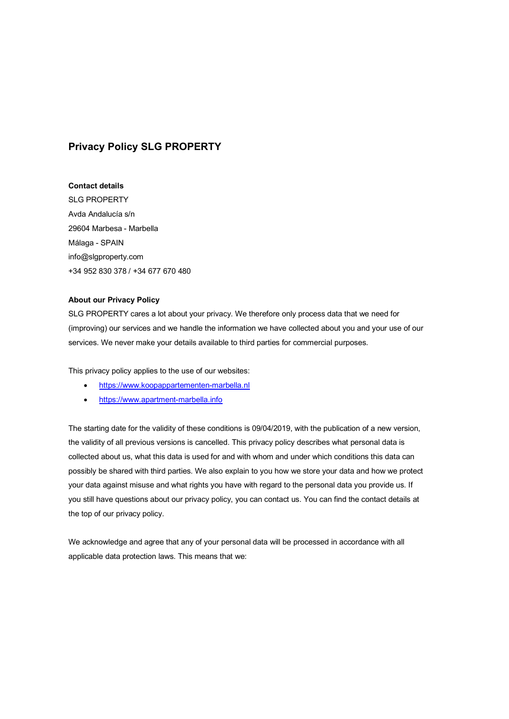# **Privacy Policy SLG PROPERTY**

### **Contact details**

SLG PROPERTY Avda Andalucía s/n 29604 Marbesa - Marbella Málaga - SPAIN info@slgproperty.com +34 952 830 378 / +34 677 670 480

## **About our Privacy Policy**

SLG PROPERTY cares a lot about your privacy. We therefore only process data that we need for (improving) our services and we handle the information we have collected about you and your use of our services. We never make your details available to third parties for commercial purposes.

This privacy policy applies to the use of our websites:

- https://www.koopappartementen-marbella.nl
- https://www.apartment-marbella.info

The starting date for the validity of these conditions is 09/04/2019, with the publication of a new version, the validity of all previous versions is cancelled. This privacy policy describes what personal data is collected about us, what this data is used for and with whom and under which conditions this data can possibly be shared with third parties. We also explain to you how we store your data and how we protect your data against misuse and what rights you have with regard to the personal data you provide us. If you still have questions about our privacy policy, you can contact us. You can find the contact details at the top of our privacy policy.

We acknowledge and agree that any of your personal data will be processed in accordance with all applicable data protection laws. This means that we: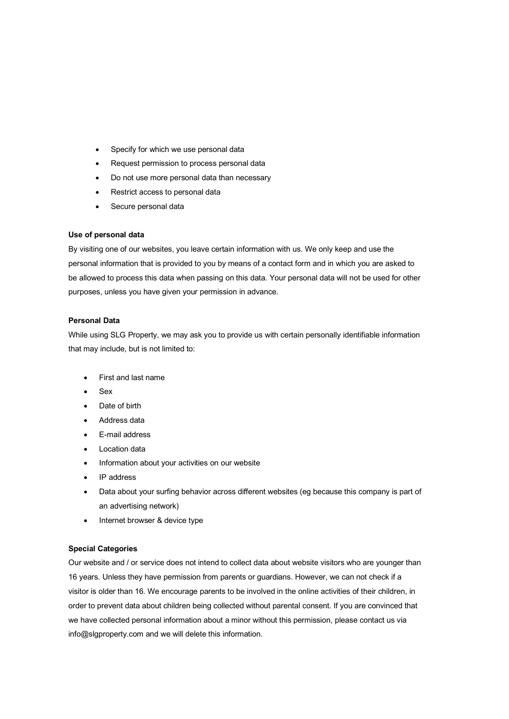- Specify for which we use personal data
- Request permission to process personal data
- Do not use more personal data than necessary
- Restrict access to personal data
- Secure personal data

### **Use of personal data**

By visiting one of our websites, you leave certain information with us. We only keep and use the personal information that is provided to you by means of a contact form and in which you are asked to be allowed to process this data when passing on this data. Your personal data will not be used for other purposes, unless you have given your permission in advance.

### **Personal Data**

While using SLG Property, we may ask you to provide us with certain personally identifiable information that may include, but is not limited to:

- First and last name
- Sex
- Date of birth
- Address data
- E-mail address
- Location data
- Information about your activities on our website
- IP address
- Data about your surfing behavior across different websites (eg because this company is part of an advertising network)
- Internet browser & device type

### **Special Categories**

Our website and / or service does not intend to collect data about website visitors who are younger than 16 years. Unless they have permission from parents or guardians. However, we can not check if a visitor is older than 16. We encourage parents to be involved in the online activities of their children, in order to prevent data about children being collected without parental consent. If you are convinced that we have collected personal information about a minor without this permission, please contact us via info@slgproperty.com and we will delete this information.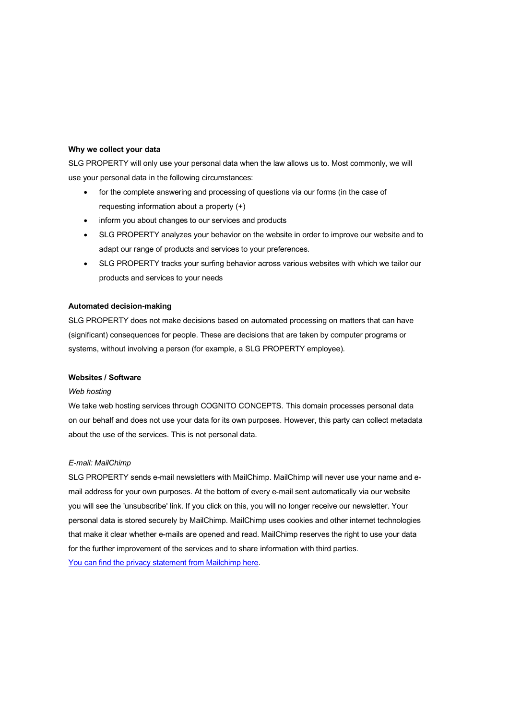# **Why we collect your data**

SLG PROPERTY will only use your personal data when the law allows us to. Most commonly, we will use your personal data in the following circumstances:

- for the complete answering and processing of questions via our forms (in the case of requesting information about a property (+)
- inform you about changes to our services and products
- SLG PROPERTY analyzes your behavior on the website in order to improve our website and to adapt our range of products and services to your preferences.
- SLG PROPERTY tracks your surfing behavior across various websites with which we tailor our products and services to your needs

#### **Automated decision-making**

SLG PROPERTY does not make decisions based on automated processing on matters that can have (significant) consequences for people. These are decisions that are taken by computer programs or systems, without involving a person (for example, a SLG PROPERTY employee).

#### **Websites / Software**

#### *Web hosting*

We take web hosting services through COGNITO CONCEPTS. This domain processes personal data on our behalf and does not use your data for its own purposes. However, this party can collect metadata about the use of the services. This is not personal data.

#### *E-mail: MailChimp*

SLG PROPERTY sends e-mail newsletters with MailChimp. MailChimp will never use your name and email address for your own purposes. At the bottom of every e-mail sent automatically via our website you will see the 'unsubscribe' link. If you click on this, you will no longer receive our newsletter. Your personal data is stored securely by MailChimp. MailChimp uses cookies and other internet technologies that make it clear whether e-mails are opened and read. MailChimp reserves the right to use your data for the further improvement of the services and to share information with third parties. You can find the privacy statement from Mailchimp here.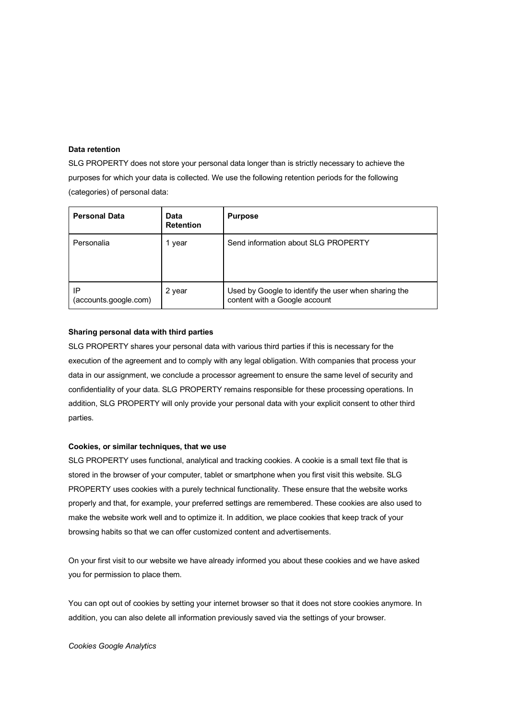### **Data retention**

SLG PROPERTY does not store your personal data longer than is strictly necessary to achieve the purposes for which your data is collected. We use the following retention periods for the following (categories) of personal data:

| <b>Personal Data</b>        | Data<br><b>Retention</b> | <b>Purpose</b>                                                                        |
|-----------------------------|--------------------------|---------------------------------------------------------------------------------------|
| Personalia                  | 1 year                   | Send information about SLG PROPERTY                                                   |
| IP<br>(accounts.google.com) | 2 year                   | Used by Google to identify the user when sharing the<br>content with a Google account |

# **Sharing personal data with third parties**

SLG PROPERTY shares your personal data with various third parties if this is necessary for the execution of the agreement and to comply with any legal obligation. With companies that process your data in our assignment, we conclude a processor agreement to ensure the same level of security and confidentiality of your data. SLG PROPERTY remains responsible for these processing operations. In addition, SLG PROPERTY will only provide your personal data with your explicit consent to other third parties.

#### **Cookies, or similar techniques, that we use**

SLG PROPERTY uses functional, analytical and tracking cookies. A cookie is a small text file that is stored in the browser of your computer, tablet or smartphone when you first visit this website. SLG PROPERTY uses cookies with a purely technical functionality. These ensure that the website works properly and that, for example, your preferred settings are remembered. These cookies are also used to make the website work well and to optimize it. In addition, we place cookies that keep track of your browsing habits so that we can offer customized content and advertisements.

On your first visit to our website we have already informed you about these cookies and we have asked you for permission to place them.

You can opt out of cookies by setting your internet browser so that it does not store cookies anymore. In addition, you can also delete all information previously saved via the settings of your browser.

*Cookies Google Analytics*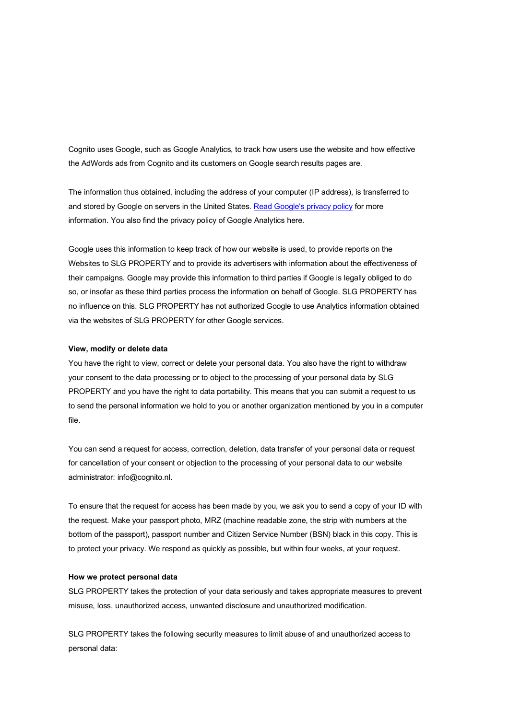Cognito uses Google, such as Google Analytics, to track how users use the website and how effective the AdWords ads from Cognito and its customers on Google search results pages are.

The information thus obtained, including the address of your computer (IP address), is transferred to and stored by Google on servers in the United States. Read Google's privacy policy for more information. You also find the privacy policy of Google Analytics here.

Google uses this information to keep track of how our website is used, to provide reports on the Websites to SLG PROPERTY and to provide its advertisers with information about the effectiveness of their campaigns. Google may provide this information to third parties if Google is legally obliged to do so, or insofar as these third parties process the information on behalf of Google. SLG PROPERTY has no influence on this. SLG PROPERTY has not authorized Google to use Analytics information obtained via the websites of SLG PROPERTY for other Google services.

#### **View, modify or delete data**

You have the right to view, correct or delete your personal data. You also have the right to withdraw your consent to the data processing or to object to the processing of your personal data by SLG PROPERTY and you have the right to data portability. This means that you can submit a request to us to send the personal information we hold to you or another organization mentioned by you in a computer file.

You can send a request for access, correction, deletion, data transfer of your personal data or request for cancellation of your consent or objection to the processing of your personal data to our website administrator: info@cognito.nl.

To ensure that the request for access has been made by you, we ask you to send a copy of your ID with the request. Make your passport photo, MRZ (machine readable zone, the strip with numbers at the bottom of the passport), passport number and Citizen Service Number (BSN) black in this copy. This is to protect your privacy. We respond as quickly as possible, but within four weeks, at your request.

#### **How we protect personal data**

SLG PROPERTY takes the protection of your data seriously and takes appropriate measures to prevent misuse, loss, unauthorized access, unwanted disclosure and unauthorized modification.

SLG PROPERTY takes the following security measures to limit abuse of and unauthorized access to personal data: